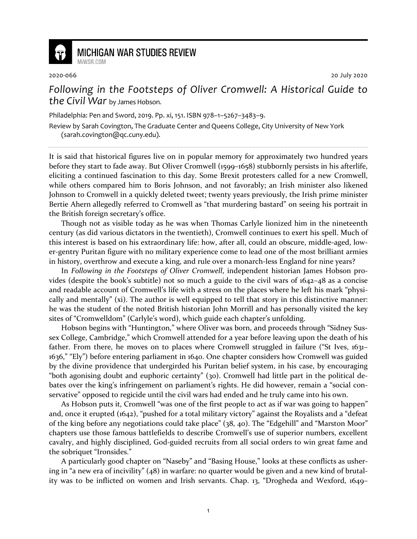

## **MICHIGAN WAR STUDIES REVIEW** MiWSR COM

2020-066 20 July 2020

## *Following in the Footsteps of Oliver Cromwell: A Historical Guide to the Civil War* by James Hobson.

Philadelphia: Pen and Sword, 2019. Pp. xi, 151. ISBN 978–1–5267–3483–9.

Review by Sarah Covington, The Graduate Center and Queens College, City University of New York (sarah.covington@qc.cuny.edu).

It is said that historical figures live on in popular memory for approximately two hundred years before they start to fade away. But Oliver Cromwell (1599–1658) stubbornly persists in his afterlife, eliciting a continued fascination to this day. Some Brexit protesters called for a new Cromwell, while others compared him to Boris Johnson, and not favorably; an Irish minister also likened Johnson to Cromwell in a quickly deleted tweet; twenty years previously, the Irish prime minister Bertie Ahern allegedly referred to Cromwell as "that murdering bastard" on seeing his portrait in the British foreign secretary's office.

Though not as visible today as he was when Thomas Carlyle lionized him in the nineteenth century (as did various dictators in the twentieth), Cromwell continues to exert his spell. Much of this interest is based on his extraordinary life: how, after all, could an obscure, middle-aged, lower-gentry Puritan figure with no military experience come to lead one of the most brilliant armies in history, overthrow and execute a king, and rule over a monarch-less England for nine years?

In *Following in the Footsteps of Oliver Cromwell*, independent historian James Hobson provides (despite the book's subtitle) not so much a guide to the civil wars of 1642–48 as a concise and readable account of Cromwell's life with a stress on the places where he left his mark "physically and mentally" (xi). The author is well equipped to tell that story in this distinctive manner: he was the student of the noted British historian John Morrill and has personally visited the key sites of "Cromwelldom" (Carlyle's word), which guide each chapter's unfolding.

Hobson begins with "Huntington," where Oliver was born, and proceeds through "Sidney Sussex College, Cambridge," which Cromwell attended for a year before leaving upon the death of his father. From there, he moves on to places where Cromwell struggled in failure ("St Ives, 1631– 1636," "Ely") before entering parliament in 1640. One chapter considers how Cromwell was guided by the divine providence that undergirded his Puritan belief system, in his case, by encouraging "both agonising doubt and euphoric certainty" (30). Cromwell had little part in the political debates over the king's infringement on parliament's rights. He did however, remain a "social conservative" opposed to regicide until the civil wars had ended and he truly came into his own.

As Hobson puts it, Cromwell "was one of the first people to act as if war was going to happen" and, once it erupted (1642), "pushed for a total military victory" against the Royalists and a "defeat of the king before any negotiations could take place" (38, 40). The "Edgehill" and "Marston Moor" chapters use those famous battlefields to describe Cromwell's use of superior numbers, excellent cavalry, and highly disciplined, God-guided recruits from all social orders to win great fame and the sobriquet "Ironsides."

A particularly good chapter on "Naseby" and "Basing House," looks at these conflicts as ushering in "a new era of incivility" (48) in warfare: no quarter would be given and a new kind of brutality was to be inflicted on women and Irish servants. Chap. 13, "Drogheda and Wexford, 1649–